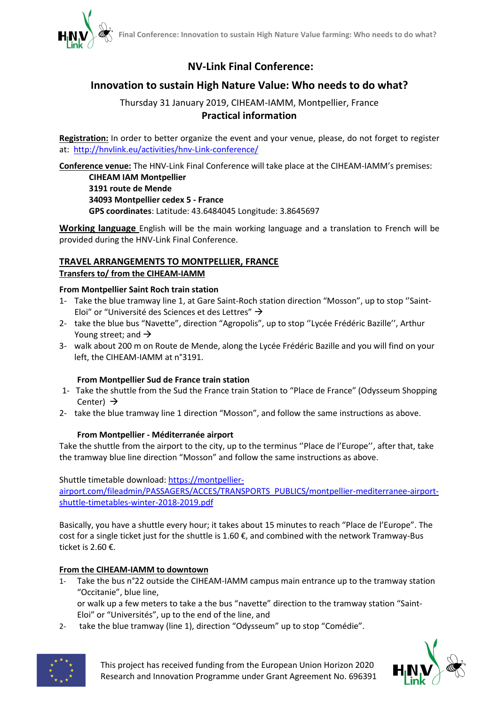

# **NV-Link Final Conference:**

# **Innovation to sustain High Nature Value: Who needs to do what?**

# Thursday 31 January 2019, CIHEAM-IAMM, Montpellier, France **Practical information**

**Registration:** In order to better organize the event and your venue, please, do not forget to register at: <http://hnvlink.eu/activities/hnv-Link-conference/>

**Conference venue:** The HNV-Link Final Conference will take place at the CIHEAM-IAMM's premises:

**CIHEAM IAM Montpellier 3191 route de Mende 34093 Montpellier cedex 5 - France GPS coordinates**: Latitude: 43.6484045 Longitude: 3.8645697

**Working language** English will be the main working language and a translation to French will be provided during the HNV-Link Final Conference.

# **TRAVEL ARRANGEMENTS TO MONTPELLIER, FRANCE Transfers to/ from the CIHEAM-IAMM**

# **From Montpellier Saint Roch train station**

- 1- Take the blue tramway line 1, at Gare Saint-Roch station direction "Mosson", up to stop ''Saint-Eloi" or "Université des Sciences et des Lettres"  $\rightarrow$
- 2- take the blue bus "Navette", direction "Agropolis", up to stop ''Lycée Frédéric Bazille'', Arthur Young street; and  $\rightarrow$
- 3- walk about 200 m on Route de Mende, along the Lycée Frédéric Bazille and you will find on your left, the CIHEAM-IAMM at n°3191.

# **From Montpellier Sud de France train station**

- 1- Take the shuttle from the Sud the France train Station to "Place de France" (Odysseum Shopping Center)  $\rightarrow$
- 2- take the blue tramway line 1 direction "Mosson", and follow the same instructions as above.

# **From Montpellier - Méditerranée airport**

Take the shuttle from the airport to the city, up to the terminus ''Place de l'Europe'', after that, take the tramway blue line direction "Mosson" and follow the same instructions as above.

Shuttle timetable download: [https://montpellier-](https://montpellier-airport.com/fileadmin/PASSAGERS/ACCES/TRANSPORTS_PUBLICS/montpellier-mediterranee-airport-shuttle-timetables-winter-2018-2019.pdf)

[airport.com/fileadmin/PASSAGERS/ACCES/TRANSPORTS\\_PUBLICS/montpellier-mediterranee-airport](https://montpellier-airport.com/fileadmin/PASSAGERS/ACCES/TRANSPORTS_PUBLICS/montpellier-mediterranee-airport-shuttle-timetables-winter-2018-2019.pdf)[shuttle-timetables-winter-2018-2019.pdf](https://montpellier-airport.com/fileadmin/PASSAGERS/ACCES/TRANSPORTS_PUBLICS/montpellier-mediterranee-airport-shuttle-timetables-winter-2018-2019.pdf)

Basically, you have a shuttle every hour; it takes about 15 minutes to reach "Place de l'Europe". The cost for a single ticket just for the shuttle is  $1.60 \text{ E}$ , and combined with the network Tramway-Bus ticket is 2.60 €.

# **From the CIHEAM-IAMM to downtown**

1- Take the bus n°22 outside the CIHEAM-IAMM campus main entrance up to the tramway station "Occitanie", blue line,

or walk up a few meters to take a the bus "navette" direction to the tramway station "Saint-Eloi" or "Universités", up to the end of the line, and

2- take the blue tramway (line 1), direction "Odysseum" up to stop "Comédie".



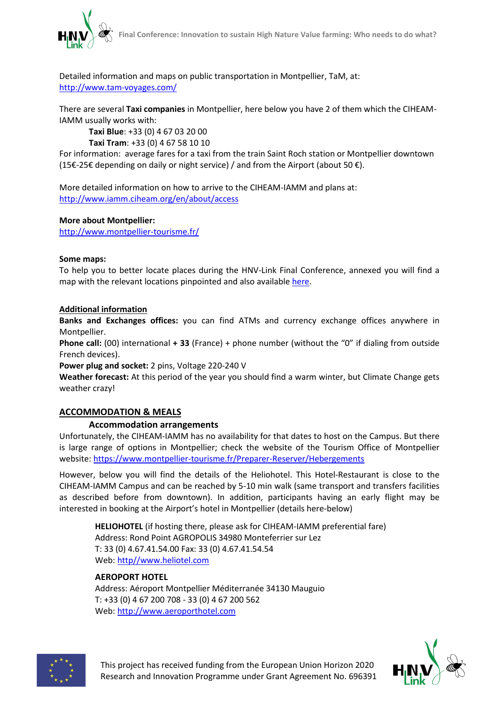

Detailed information and maps on public transportation in Montpellier, TaM, at: <http://www.tam-voyages.com/>

There are several **Taxi companies** in Montpellier, here below you have 2 of them which the CIHEAM-IAMM usually works with:

**Taxi Blue**: +33 (0) 4 67 03 20 00 **Taxi Tram**: +33 (0) 4 67 58 10 10

For information: average fares for a taxi from the train Saint Roch station or Montpellier downtown (15€-25€ depending on daily or night service) / and from the Airport (about 50 €).

More detailed information on how to arrive to the CIHEAM-IAMM and plans at: <http://www.iamm.ciheam.org/en/about/access>

# **More about Montpellier:**

<http://www.montpellier-tourisme.fr/>

#### **Some maps:**

To help you to better locate places during the HNV-Link Final Conference, annexed you will find a map with the relevant locations pinpointed and also availabl[e here.](https://www.google.com/maps/dir/A%C3%A9roport+Montpellier+M%C3%A9diterran%C3%A9e/CIHEAM+IAM+Montpellier,+3191+Route+de+Mende,+34090+Montpellier/HELIOTEL,+Route+de+Mende,+Montferrier-sur-Lez/Gare+de+Montpellier+Saint-Roch,+Montpellier/Gare+de+Montpellier+Sud+de+France,+Rue+de+la+Fontaine+de+la+Banqui%C3%A8re,+Montpellier/@43.6153006,3.8990124,13.25z/data=!4m32!4m31!1m5!1m1!1s0x12b6a4b8634f5375:0xda2b82513d41cd2d!2m2!1d3.9652372!2d43.5795991!1m5!1m1!1s0x12b6aed5157a8437:0x15e47de57765d924!2m2!1d3.8635671!2d43.6485507!1m5!1m1!1s0x12b6a8d5623b314f:0x4c4d7d32d185aece!2m2!1d3.8671826!2d43.6516086!1m5!1m1!1s0x12b6afa406650bbd:0x1766935f25749770!2m2!1d3.8807384!2d43.6047756!1m5!1m1!1s0x12b6a56c63257fff:0x4580c6f88a104649!2m2!1d3.9253639!2d43.594064!3e0)

# **Additional information**

**Banks and Exchanges offices:** you can find ATMs and currency exchange offices anywhere in Montpellier.

**Phone call:** (00) international **+ 33** (France) + phone number (without the "0" if dialing from outside French devices).

**Power plug and socket:** 2 pins, Voltage 220-240 V

**Weather forecast:** At this period of the year you should find a warm winter, but Climate Change gets weather crazy!

# **ACCOMMODATION & MEALS**

# **Accommodation arrangements**

Unfortunately, the CIHEAM-IAMM has no availability for that dates to host on the Campus. But there is large range of options in Montpellier; check the website of the Tourism Office of Montpellier website:<https://www.montpellier-tourisme.fr/Preparer-Reserver/Hebergements>

However, below you will find the details of the Heliohotel. This Hotel-Restaurant is close to the CIHEAM-IAMM Campus and can be reached by 5-10 min walk (same transport and transfers facilities as described before from downtown). In addition, participants having an early flight may be interested in booking at the Airport's hotel in Montpellier (details here-below)

**HELIOHOTEL** (if hosting there, please ask for CIHEAM-IAMM preferential fare) Address: Rond Point AGROPOLIS 34980 Monteferrier sur Lez T: 33 (0) 4.67.41.54.00 Fax: 33 (0) 4.67.41.54.54 Web: http/[/www.heliotel.com](http://www.heliotel.com/)

# **AEROPORT HOTEL**

Address: Aéroport Montpellier Méditerranée 34130 Mauguio T: +33 (0) 4 67 200 708 - 33 (0) 4 67 200 562 Web: [http://www.aeroporthotel.com](http://www.aeroporthotel.com/)